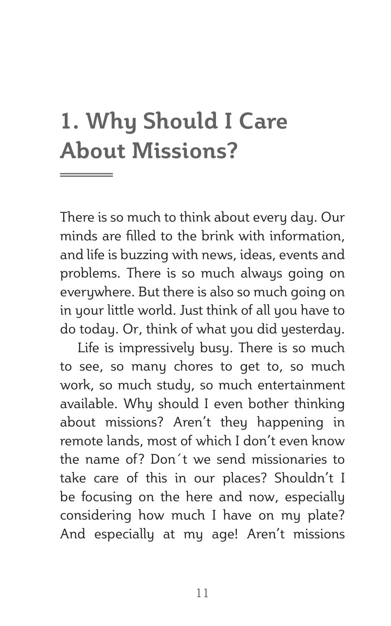# **1. Why Should I Care About Missions?**

There is so much to think about every day. Our minds are filled to the brink with information, and life is buzzing with news, ideas, events and problems. There is so much always going on everywhere. But there is also so much going on in your little world. Just think of all you have to do today. Or, think of what you did yesterday.

Life is impressively busy. There is so much to see, so many chores to get to, so much work, so much study, so much entertainment available. Why should I even bother thinking about missions? Aren't they happening in remote lands, most of which I don't even know the name of? Don´t we send missionaries to take care of this in our places? Shouldn't I be focusing on the here and now, especially considering how much I have on my plate? And especially at my age! Aren't missions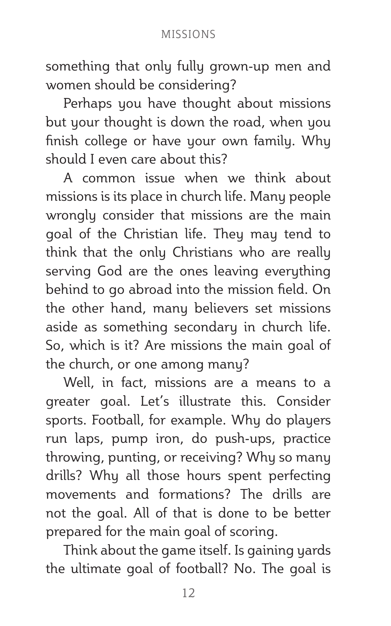#### MISSIONS

something that only fully grown-up men and women should be considering?

Perhaps you have thought about missions but your thought is down the road, when you finish college or have your own family. Why should I even care about this?

A common issue when we think about missions is its place in church life. Many people wrongly consider that missions are the main goal of the Christian life. They may tend to think that the only Christians who are really serving God are the ones leaving everything behind to go abroad into the mission field. On the other hand, many believers set missions aside as something secondary in church life. So, which is it? Are missions the main goal of the church, or one among many?

Well, in fact, missions are a means to a greater goal. Let's illustrate this. Consider sports. Football, for example. Why do players run laps, pump iron, do push-ups, practice throwing, punting, or receiving? Why so many drills? Why all those hours spent perfecting movements and formations? The drills are not the goal. All of that is done to be better prepared for the main goal of scoring.

Think about the game itself. Is gaining yards the ultimate goal of football? No. The goal is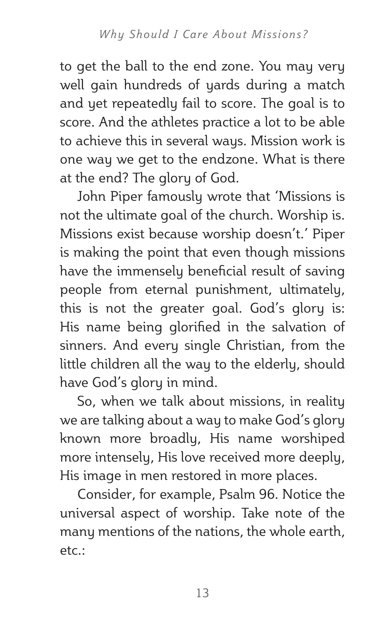to get the ball to the end zone. You may very well gain hundreds of yards during a match and yet repeatedly fail to score. The goal is to score. And the athletes practice a lot to be able to achieve this in several ways. Mission work is one way we get to the endzone. What is there at the end? The glory of God.

John Piper famously wrote that 'Missions is not the ultimate goal of the church. Worship is. Missions exist because worship doesn't.' Piper is making the point that even though missions have the immensely beneficial result of saving people from eternal punishment, ultimately, this is not the greater goal. God's glory is: His name being glorified in the salvation of sinners. And every single Christian, from the little children all the way to the elderly, should have God's glory in mind.

So, when we talk about missions, in reality we are talking about a way to make God's glory known more broadly, His name worshiped more intensely, His love received more deeply, His image in men restored in more places.

Consider, for example, Psalm 96. Notice the universal aspect of worship. Take note of the many mentions of the nations, the whole earth, etc.: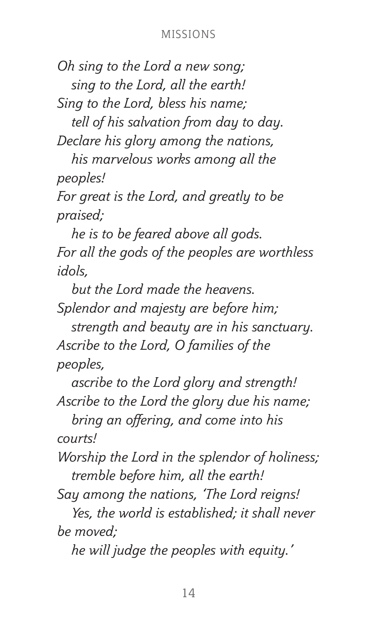*Oh sing to the Lord a new song; sing to the Lord, all the earth!*

*Sing to the Lord, bless his name;*

*tell of his salvation from day to day. Declare his glory among the nations,*

*his marvelous works among all the peoples!*

*For great is the Lord, and greatly to be praised;*

*he is to be feared above all gods. For all the gods of the peoples are worthless idols,*

*but the Lord made the heavens. Splendor and majesty are before him;*

*strength and beauty are in his sanctuary. Ascribe to the Lord, O families of the peoples,*

*ascribe to the Lord glory and strength! Ascribe to the Lord the glory due his name;*

 *bring an offering, and come into his courts!*

*Worship the Lord in the splendor of holiness; tremble before him, all the earth!*

*Say among the nations, 'The Lord reigns!*

*Yes, the world is established; it shall never be moved;*

*he will judge the peoples with equity.'*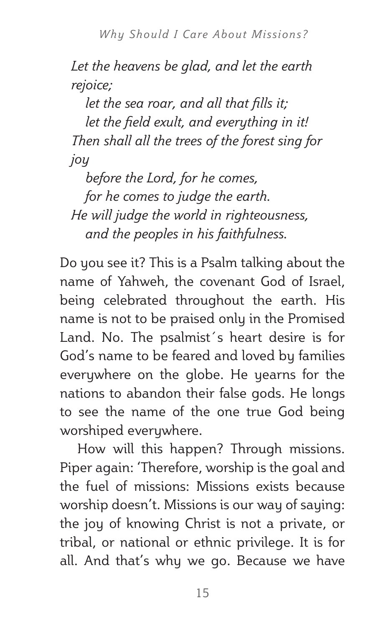*Let the heavens be glad, and let the earth rejoice;*

 *let the sea roar, and all that fills it; let the field exult, and everything in it! Then shall all the trees of the forest sing for joy*

*before the Lord, for he comes, for he comes to judge the earth. He will judge the world in righteousness, and the peoples in his faithfulness.*

Do you see it? This is a Psalm talking about the name of Yahweh, the covenant God of Israel, being celebrated throughout the earth. His name is not to be praised only in the Promised Land. No. The psalmist´s heart desire is for God's name to be feared and loved by families everywhere on the globe. He yearns for the nations to abandon their false gods. He longs to see the name of the one true God being worshiped everywhere.

How will this happen? Through missions. Piper again: 'Therefore, worship is the goal and the fuel of missions: Missions exists because worship doesn't. Missions is our way of saying: the joy of knowing Christ is not a private, or tribal, or national or ethnic privilege. It is for all. And that's why we go. Because we have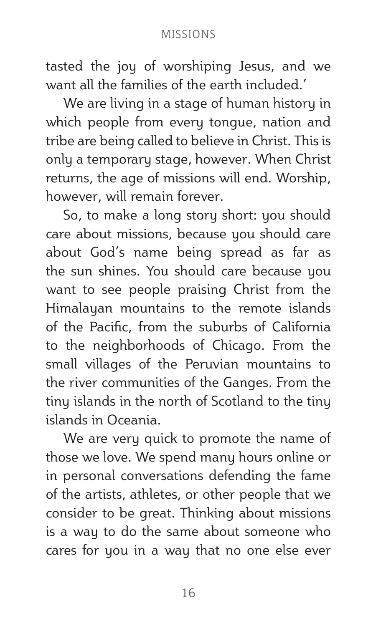#### MISSIONS

tasted the joy of worshiping Jesus, and we want all the families of the earth included.'

We are living in a stage of human history in which people from every tongue, nation and tribe are being called to believe in Christ. This is only a temporary stage, however. When Christ returns, the age of missions will end. Worship, however, will remain forever.

So, to make a long story short: you should care about missions, because you should care about God's name being spread as far as the sun shines. You should care because you want to see people praising Christ from the Himalayan mountains to the remote islands of the Pacific, from the suburbs of California to the neighborhoods of Chicago. From the small villages of the Peruvian mountains to the river communities of the Ganges. From the tiny islands in the north of Scotland to the tiny islands in Oceania.

We are very quick to promote the name of those we love. We spend many hours online or in personal conversations defending the fame of the artists, athletes, or other people that we consider to be great. Thinking about missions is a way to do the same about someone who cares for you in a way that no one else ever